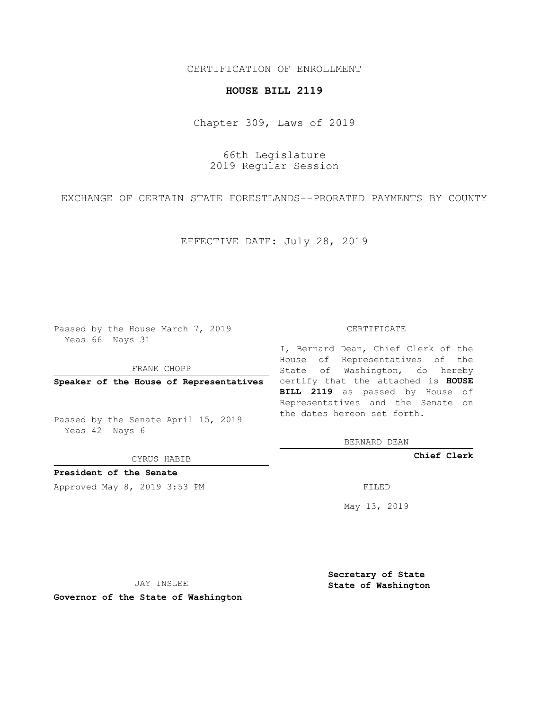## CERTIFICATION OF ENROLLMENT

## **HOUSE BILL 2119**

Chapter 309, Laws of 2019

66th Legislature 2019 Regular Session

EXCHANGE OF CERTAIN STATE FORESTLANDS--PRORATED PAYMENTS BY COUNTY

EFFECTIVE DATE: July 28, 2019

Passed by the House March 7, 2019 Yeas 66 Nays 31

FRANK CHOPP

Passed by the Senate April 15, 2019 Yeas 42 Nays 6

CYRUS HABIB

**President of the Senate**

Approved May 8, 2019 3:53 PM

## CERTIFICATE

**Speaker of the House of Representatives** certify that the attached is **HOUSE** I, Bernard Dean, Chief Clerk of the House of Representatives of the State of Washington, do hereby **BILL 2119** as passed by House of Representatives and the Senate on the dates hereon set forth.

BERNARD DEAN

**Chief Clerk**

May 13, 2019

JAY INSLEE

**Governor of the State of Washington**

**Secretary of State State of Washington**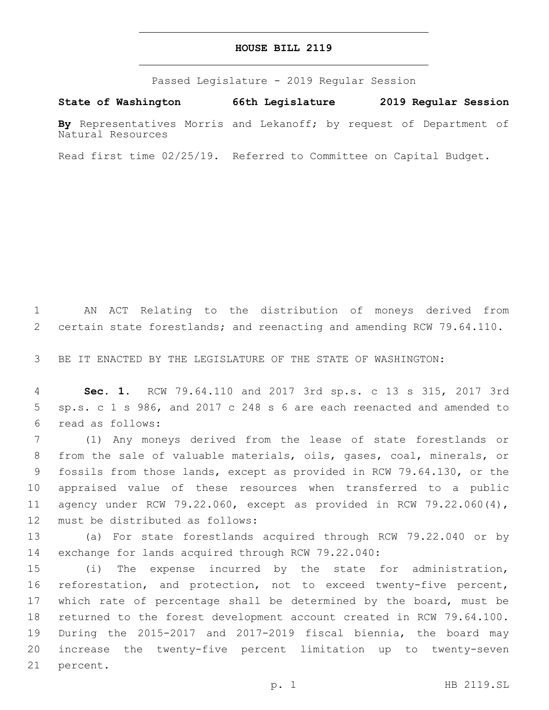## **HOUSE BILL 2119**

Passed Legislature - 2019 Regular Session

**State of Washington 66th Legislature 2019 Regular Session**

**By** Representatives Morris and Lekanoff; by request of Department of Natural Resources

Read first time 02/25/19. Referred to Committee on Capital Budget.

 AN ACT Relating to the distribution of moneys derived from certain state forestlands; and reenacting and amending RCW 79.64.110.

BE IT ENACTED BY THE LEGISLATURE OF THE STATE OF WASHINGTON:

 **Sec. 1.** RCW 79.64.110 and 2017 3rd sp.s. c 13 s 315, 2017 3rd sp.s. c 1 s 986, and 2017 c 248 s 6 are each reenacted and amended to read as follows:6

 (1) Any moneys derived from the lease of state forestlands or from the sale of valuable materials, oils, gases, coal, minerals, or fossils from those lands, except as provided in RCW 79.64.130, or the appraised value of these resources when transferred to a public agency under RCW 79.22.060, except as provided in RCW 79.22.060(4), 12 must be distributed as follows:

 (a) For state forestlands acquired through RCW 79.22.040 or by exchange for lands acquired through RCW 79.22.040:

 (i) The expense incurred by the state for administration, reforestation, and protection, not to exceed twenty-five percent, 17 which rate of percentage shall be determined by the board, must be returned to the forest development account created in RCW 79.64.100. During the 2015-2017 and 2017-2019 fiscal biennia, the board may increase the twenty-five percent limitation up to twenty-seven 21 percent.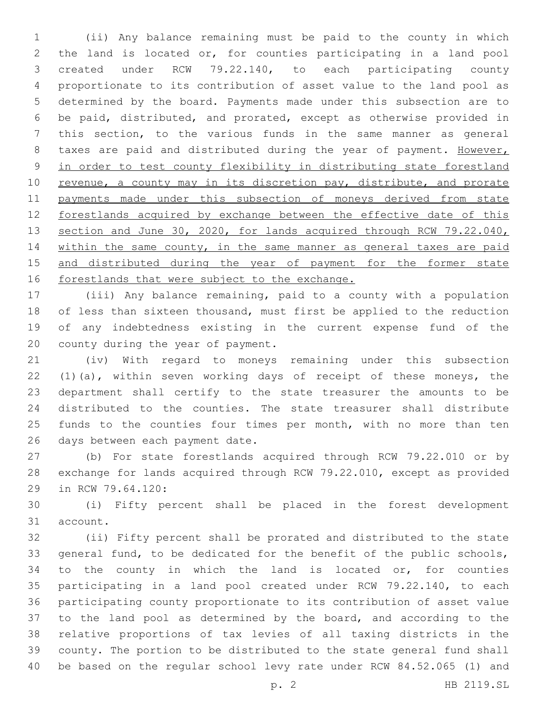(ii) Any balance remaining must be paid to the county in which the land is located or, for counties participating in a land pool created under RCW 79.22.140, to each participating county proportionate to its contribution of asset value to the land pool as determined by the board. Payments made under this subsection are to be paid, distributed, and prorated, except as otherwise provided in this section, to the various funds in the same manner as general 8 taxes are paid and distributed during the year of payment. However, in order to test county flexibility in distributing state forestland 10 revenue, a county may in its discretion pay, distribute, and prorate payments made under this subsection of moneys derived from state forestlands acquired by exchange between the effective date of this 13 section and June 30, 2020, for lands acquired through RCW 79.22.040, within the same county, in the same manner as general taxes are paid and distributed during the year of payment for the former state 16 forestlands that were subject to the exchange.

 (iii) Any balance remaining, paid to a county with a population 18 of less than sixteen thousand, must first be applied to the reduction of any indebtedness existing in the current expense fund of the 20 county during the year of payment.

 (iv) With regard to moneys remaining under this subsection (1)(a), within seven working days of receipt of these moneys, the department shall certify to the state treasurer the amounts to be distributed to the counties. The state treasurer shall distribute 25 funds to the counties four times per month, with no more than ten 26 days between each payment date.

 (b) For state forestlands acquired through RCW 79.22.010 or by exchange for lands acquired through RCW 79.22.010, except as provided 29 in RCW 79.64.120:

 (i) Fifty percent shall be placed in the forest development 31 account.

 (ii) Fifty percent shall be prorated and distributed to the state general fund, to be dedicated for the benefit of the public schools, 34 to the county in which the land is located or, for counties participating in a land pool created under RCW 79.22.140, to each participating county proportionate to its contribution of asset value to the land pool as determined by the board, and according to the relative proportions of tax levies of all taxing districts in the county. The portion to be distributed to the state general fund shall be based on the regular school levy rate under RCW 84.52.065 (1) and

p. 2 HB 2119.SL